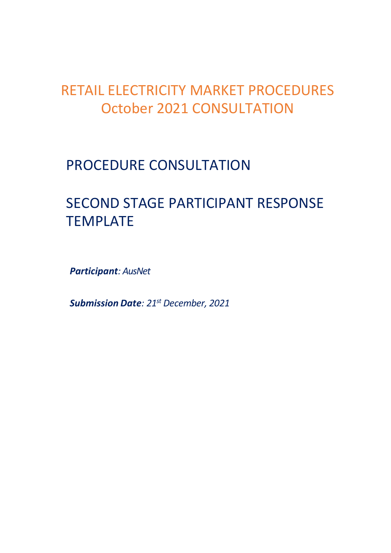## RETAIL ELECTRICITY MARKET PROCEDURES October 2021 CONSULTATION

## PROCEDURE CONSULTATION

# SECOND STAGE PARTICIPANT RESPONSE TEMPLATE

*Participant: AusNet*

*Submission Date: 21st December, 2021*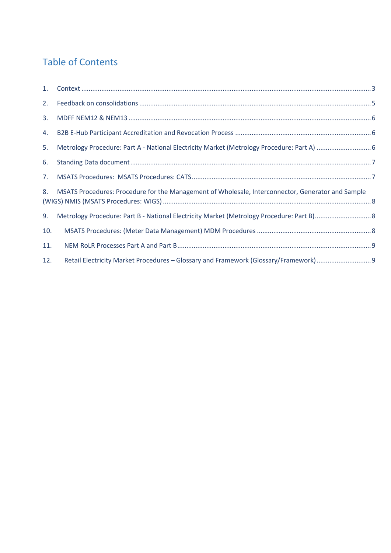#### Table of Contents

| 1.  |                                                                                                   |  |
|-----|---------------------------------------------------------------------------------------------------|--|
| 2.  |                                                                                                   |  |
| 3.  |                                                                                                   |  |
| 4.  |                                                                                                   |  |
| 5.  |                                                                                                   |  |
| 6.  |                                                                                                   |  |
| 7.  |                                                                                                   |  |
| 8.  | MSATS Procedures: Procedure for the Management of Wholesale, Interconnector, Generator and Sample |  |
| 9.  |                                                                                                   |  |
| 10. |                                                                                                   |  |
| 11. |                                                                                                   |  |
| 12. | Retail Electricity Market Procedures - Glossary and Framework (Glossary/Framework)                |  |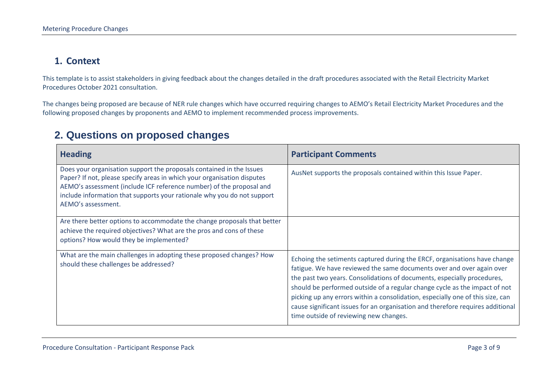#### **1. Context**

This template is to assist stakeholders in giving feedback about the changes detailed in the draft procedures associated with the Retail Electricity Market Procedures October 2021 consultation.

The changes being proposed are because of NER rule changes which have occurred requiring changes to AEMO's Retail Electricity Market Procedures and the following proposed changes by proponents and AEMO to implement recommended process improvements.

#### **2. Questions on proposed changes**

<span id="page-2-0"></span>

| <b>Heading</b>                                                                                                                                                                                                                                                                                                           | <b>Participant Comments</b>                                                                                                                                                                                                                                                                                                                                                                                                                                                                                               |
|--------------------------------------------------------------------------------------------------------------------------------------------------------------------------------------------------------------------------------------------------------------------------------------------------------------------------|---------------------------------------------------------------------------------------------------------------------------------------------------------------------------------------------------------------------------------------------------------------------------------------------------------------------------------------------------------------------------------------------------------------------------------------------------------------------------------------------------------------------------|
| Does your organisation support the proposals contained in the Issues<br>Paper? If not, please specify areas in which your organisation disputes<br>AEMO's assessment (include ICF reference number) of the proposal and<br>include information that supports your rationale why you do not support<br>AEMO's assessment. | AusNet supports the proposals contained within this Issue Paper.                                                                                                                                                                                                                                                                                                                                                                                                                                                          |
| Are there better options to accommodate the change proposals that better<br>achieve the required objectives? What are the pros and cons of these<br>options? How would they be implemented?                                                                                                                              |                                                                                                                                                                                                                                                                                                                                                                                                                                                                                                                           |
| What are the main challenges in adopting these proposed changes? How<br>should these challenges be addressed?                                                                                                                                                                                                            | Echoing the setiments captured during the ERCF, organisations have change<br>fatigue. We have reviewed the same documents over and over again over<br>the past two years. Consolidations of documents, especially procedures,<br>should be performed outside of a regular change cycle as the impact of not<br>picking up any errors within a consolidation, especially one of this size, can<br>cause significant issues for an organisation and therefore requires additional<br>time outside of reviewing new changes. |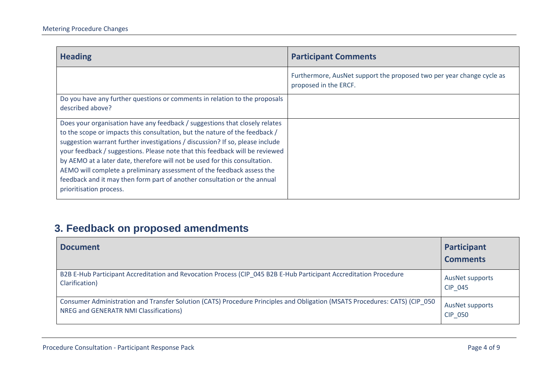| <b>Heading</b>                                                                                                                                                                                                                                                                                                                                                                                                                                                                                                                                                                             | <b>Participant Comments</b>                                                                    |
|--------------------------------------------------------------------------------------------------------------------------------------------------------------------------------------------------------------------------------------------------------------------------------------------------------------------------------------------------------------------------------------------------------------------------------------------------------------------------------------------------------------------------------------------------------------------------------------------|------------------------------------------------------------------------------------------------|
|                                                                                                                                                                                                                                                                                                                                                                                                                                                                                                                                                                                            | Furthermore, AusNet support the proposed two per year change cycle as<br>proposed in the ERCF. |
| Do you have any further questions or comments in relation to the proposals<br>described above?                                                                                                                                                                                                                                                                                                                                                                                                                                                                                             |                                                                                                |
| Does your organisation have any feedback / suggestions that closely relates<br>to the scope or impacts this consultation, but the nature of the feedback /<br>suggestion warrant further investigations / discussion? If so, please include<br>your feedback / suggestions. Please note that this feedback will be reviewed<br>by AEMO at a later date, therefore will not be used for this consultation.<br>AEMO will complete a preliminary assessment of the feedback assess the<br>feedback and it may then form part of another consultation or the annual<br>prioritisation process. |                                                                                                |

## **3. Feedback on proposed amendments**

| <b>Document</b>                                                                                                            | Participant<br><b>Comments</b> |
|----------------------------------------------------------------------------------------------------------------------------|--------------------------------|
| B2B E-Hub Participant Accreditation and Revocation Process (CIP 045 B2B E-Hub Participant Accreditation Procedure          | AusNet supports                |
| Clarification)                                                                                                             | CIP_045                        |
| Consumer Administration and Transfer Solution (CATS) Procedure Principles and Obligation (MSATS Procedures: CATS) (CIP 050 | AusNet supports                |
| NREG and GENERATR NMI Classifications)                                                                                     | <b>CIP 050</b>                 |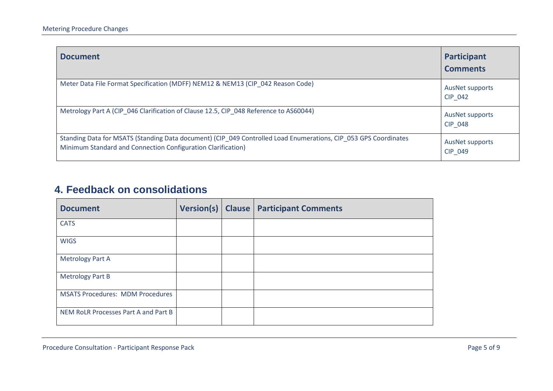| <b>Document</b>                                                                                                                                                                 | Participant<br><b>Comments</b>    |
|---------------------------------------------------------------------------------------------------------------------------------------------------------------------------------|-----------------------------------|
| Meter Data File Format Specification (MDFF) NEM12 & NEM13 (CIP_042 Reason Code)                                                                                                 | <b>AusNet supports</b><br>CIP_042 |
| Metrology Part A (CIP 046 Clarification of Clause 12.5, CIP 048 Reference to AS60044)                                                                                           | <b>AusNet supports</b><br>CIP_048 |
| Standing Data for MSATS (Standing Data document) (CIP_049 Controlled Load Enumerations, CIP_053 GPS Coordinates<br>Minimum Standard and Connection Configuration Clarification) | <b>AusNet supports</b><br>CIP_049 |

## **4. Feedback on consolidations**

<span id="page-4-0"></span>

| <b>Document</b>                         | <b>Version(s)</b> | <b>Clause   Participant Comments</b> |
|-----------------------------------------|-------------------|--------------------------------------|
| <b>CATS</b>                             |                   |                                      |
| <b>WIGS</b>                             |                   |                                      |
| <b>Metrology Part A</b>                 |                   |                                      |
| <b>Metrology Part B</b>                 |                   |                                      |
| <b>MSATS Procedures: MDM Procedures</b> |                   |                                      |
| NEM RoLR Processes Part A and Part B    |                   |                                      |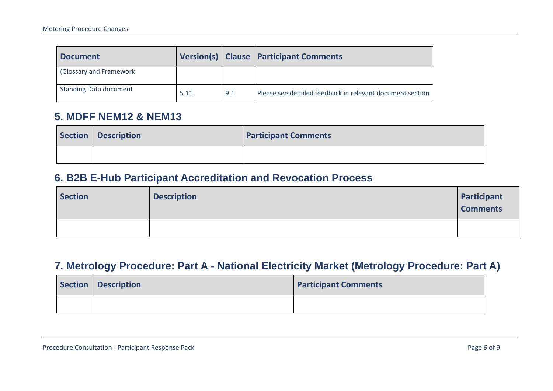| <b>Document</b>               |      |     | Version(s)   Clause   Participant Comments                |
|-------------------------------|------|-----|-----------------------------------------------------------|
| (Glossary and Framework       |      |     |                                                           |
| <b>Standing Data document</b> | 5.11 | 9.1 | Please see detailed feedback in relevant document section |

#### **5. MDFF NEM12 & NEM13**

| Section Description | <b>Participant Comments</b> |
|---------------------|-----------------------------|
|                     |                             |

#### **6. B2B E-Hub Participant Accreditation and Revocation Process**

| Section | <b>Description</b> | Participant<br><b>Comments</b> |
|---------|--------------------|--------------------------------|
|         |                    |                                |

## <span id="page-5-0"></span>**7. Metrology Procedure: Part A - National Electricity Market (Metrology Procedure: Part A)**

<span id="page-5-2"></span><span id="page-5-1"></span>

| Section   Description | <b>Participant Comments</b> |
|-----------------------|-----------------------------|
|                       |                             |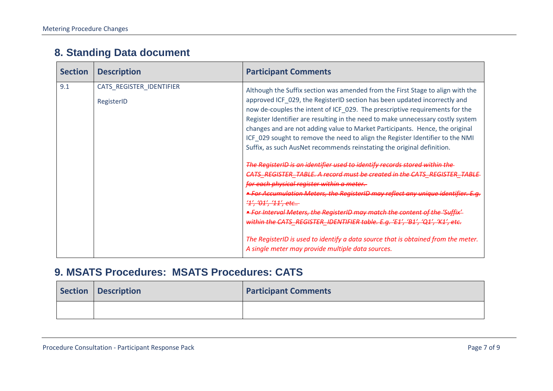### **8. Standing Data document**

| <b>Section</b> | <b>Description</b>                     | <b>Participant Comments</b>                                                                                                                                                                                                                                                                                                                                                                                                                                                                                                                                                                                                                                                                                                                                                                                                                                                                                                                                                                                                                                                                                                                                                                                        |
|----------------|----------------------------------------|--------------------------------------------------------------------------------------------------------------------------------------------------------------------------------------------------------------------------------------------------------------------------------------------------------------------------------------------------------------------------------------------------------------------------------------------------------------------------------------------------------------------------------------------------------------------------------------------------------------------------------------------------------------------------------------------------------------------------------------------------------------------------------------------------------------------------------------------------------------------------------------------------------------------------------------------------------------------------------------------------------------------------------------------------------------------------------------------------------------------------------------------------------------------------------------------------------------------|
| 9.1            | CATS_REGISTER_IDENTIFIER<br>RegisterID | Although the Suffix section was amended from the First Stage to align with the<br>approved ICF_029, the RegisterID section has been updated incorrectly and<br>now de-couples the intent of ICF_029. The prescriptive requirements for the<br>Register Identifier are resulting in the need to make unnecessary costly system<br>changes and are not adding value to Market Participants. Hence, the original<br>ICF_029 sought to remove the need to align the Register Identifier to the NMI<br>Suffix, as such AusNet recommends reinstating the original definition.<br>The RegisterID is an identifier used to identify records stored within the<br>CATS REGISTER TABLE. A record must be created in the CATS REGISTER TABLE<br>for each physical register within a meter.<br>• For Accumulation Meters, the RegisterID may reflect any unique identifier. E.g.<br><del>'1', '01', '11', etc</del><br>• For Interval Meters, the RegisterID may match the content of the 'Suffix'-<br>within the CATS REGISTER IDENTIFIER table. E.g. 'E1', 'B1', 'Q1', 'K1', etc.<br>The RegisterID is used to identify a data source that is obtained from the meter.<br>A single meter may provide multiple data sources. |

## <span id="page-6-0"></span>**9. MSATS Procedures: MSATS Procedures: CATS**

<span id="page-6-1"></span>

| Section   Description | <b>Participant Comments</b> |
|-----------------------|-----------------------------|
|                       |                             |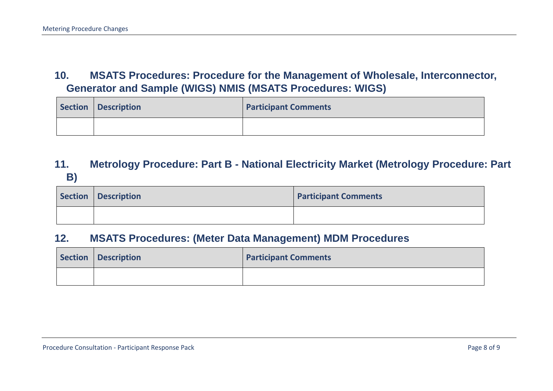#### **10. MSATS Procedures: Procedure for the Management of Wholesale, Interconnector, Generator and Sample (WIGS) NMIS (MSATS Procedures: WIGS)**

| Section   Description | <b>Participant Comments</b> |
|-----------------------|-----------------------------|
|                       |                             |

#### **11. Metrology Procedure: Part B - National Electricity Market (Metrology Procedure: Part B)**

| Section   Description | <b>Participant Comments</b> |
|-----------------------|-----------------------------|
|                       |                             |

#### <span id="page-7-0"></span>**12. MSATS Procedures: (Meter Data Management) MDM Procedures**

<span id="page-7-2"></span><span id="page-7-1"></span>

| Section   Description | <b>Participant Comments</b> |
|-----------------------|-----------------------------|
|                       |                             |